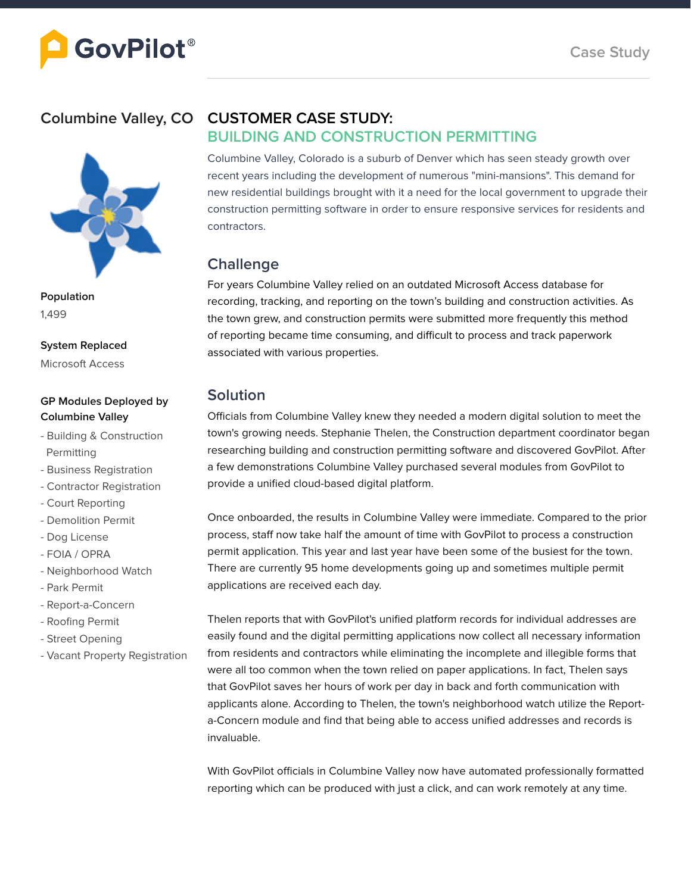#### **Columbine Valley, CO**



**Population** 1,499

**System Replaced** Microsoft Access

#### **GP Modules Deployed by Columbine Valley**

- Building & Construction Permitting
- Business Registration
- Contractor Registration
- Court Reporting
- Demolition Permit
- Dog License
- FOIA / OPRA
- Neighborhood Watch
- Park Permit
- Report-a-Concern
- Roofing Permit
- Street Opening
- Vacant Property Registration

### **CUSTOMER CASE STUDY:**

#### **BUILDING AND CONSTRUCTION PERMITTING**

Columbine Valley, Colorado is a suburb of Denver which has seen steady growth over recent years including the development of numerous "mini-mansions". This demand for new residential buildings brought with it a need for the local government to upgrade their construction permitting software in order to ensure responsive services for residents and contractors.

#### **Challenge**

For years Columbine Valley relied on an outdated Microsoft Access database for recording, tracking, and reporting on the town's building and construction activities. As the town grew, and construction permits were submitted more frequently this method of reporting became time consuming, and difficult to process and track paperwork associated with various properties.

#### **Solution**

Officials from Columbine Valley knew they needed a modern digital solution to meet the town's growing needs. Stephanie Thelen, the Construction department coordinator began researching building and construction permitting software and discovered GovPilot. After a few demonstrations Columbine Valley purchased several modules from GovPilot to provide a unified cloud-based digital platform.

Once onboarded, the results in Columbine Valley were immediate. Compared to the prior process, staff now take half the amount of time with GovPilot to process a construction permit application. This year and last year have been some of the busiest for the town. There are currently 95 home developments going up and sometimes multiple permit applications are received each day.

Thelen reports that with GovPilot's unified platform records for individual addresses are easily found and the digital permitting applications now collect all necessary information from residents and contractors while eliminating the incomplete and illegible forms that were all too common when the town relied on paper applications. In fact, Thelen says that GovPilot saves her hours of work per day in back and forth communication with applicants alone. According to Thelen, the town's neighborhood watch utilize the Reporta-Concern module and find that being able to access unified addresses and records is invaluable.

With GovPilot officials in Columbine Valley now have automated professionally formatted reporting which can be produced with just a click, and can work remotely at any time.